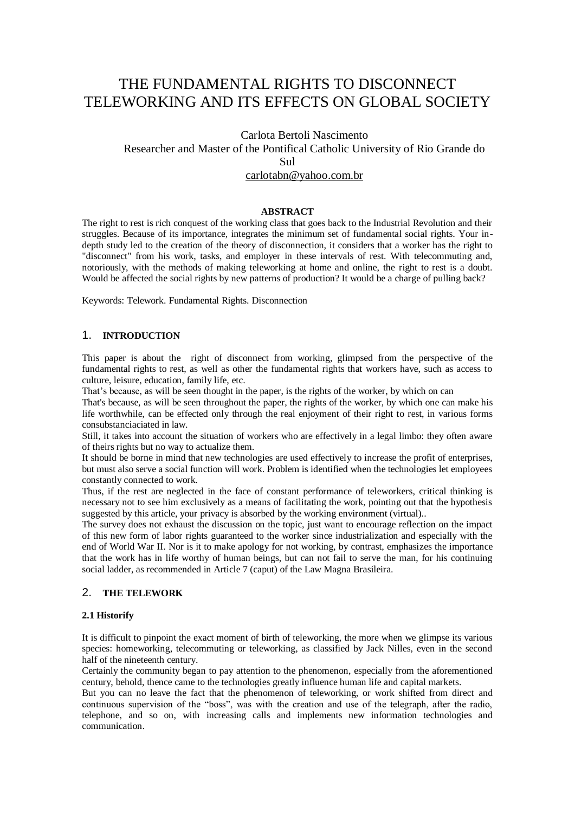# THE FUNDAMENTAL RIGHTS TO DISCONNECT TELEWORKING AND ITS EFFECTS ON GLOBAL SOCIETY

# Carlota Bertoli Nascimento Researcher and Master of the Pontifical Catholic University of Rio Grande do Sul [carlotabn@yahoo.com.br](mailto:carlotabn@yahoo.com.br)

#### **ABSTRACT**

The right to rest is rich conquest of the working class that goes back to the Industrial Revolution and their struggles. Because of its importance, integrates the minimum set of fundamental social rights. Your indepth study led to the creation of the theory of disconnection, it considers that a worker has the right to "disconnect" from his work, tasks, and employer in these intervals of rest. With telecommuting and, notoriously, with the methods of making teleworking at home and online, the right to rest is a doubt. Would be affected the social rights by new patterns of production? It would be a charge of pulling back?

Keywords: Telework. Fundamental Rights. Disconnection

## 1. **INTRODUCTION**

This paper is about the right of disconnect from working, glimpsed from the perspective of the fundamental rights to rest, as well as other the fundamental rights that workers have, such as access to culture, leisure, education, family life, etc.

That's because, as will be seen thought in the paper, is the rights of the worker, by which on can

That's because, as will be seen throughout the paper, the rights of the worker, by which one can make his life worthwhile, can be effected only through the real enjoyment of their right to rest, in various forms consubstanciaciated in law.

Still, it takes into account the situation of workers who are effectively in a legal limbo: they often aware of theirs rights but no way to actualize them.

It should be borne in mind that new technologies are used effectively to increase the profit of enterprises, but must also serve a social function will work. Problem is identified when the technologies let employees constantly connected to work.

Thus, if the rest are neglected in the face of constant performance of teleworkers, critical thinking is necessary not to see him exclusively as a means of facilitating the work, pointing out that the hypothesis suggested by this article, your privacy is absorbed by the working environment (virtual)..

The survey does not exhaust the discussion on the topic, just want to encourage reflection on the impact of this new form of labor rights guaranteed to the worker since industrialization and especially with the end of World War II. Nor is it to make apology for not working, by contrast, emphasizes the importance that the work has in life worthy of human beings, but can not fail to serve the man, for his continuing social ladder, as recommended in Article 7 (caput) of the Law Magna Brasileira.

### 2. **THE TELEWORK**

#### **2.1 Historify**

It is difficult to pinpoint the exact moment of birth of teleworking, the more when we glimpse its various species: homeworking, telecommuting or teleworking, as classified by Jack Nilles, even in the second half of the nineteenth century.

Certainly the community began to pay attention to the phenomenon, especially from the aforementioned century, behold, thence came to the technologies greatly influence human life and capital markets.

But you can no leave the fact that the phenomenon of teleworking, or work shifted from direct and continuous supervision of the "boss", was with the creation and use of the telegraph, after the radio, telephone, and so on, with increasing calls and implements new information technologies and communication.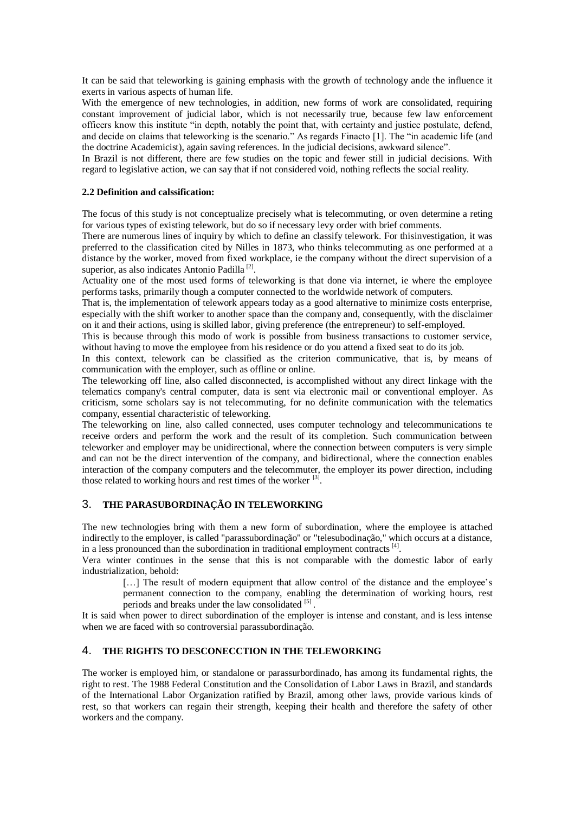It can be said that teleworking is gaining emphasis with the growth of technology ande the influence it exerts in various aspects of human life.

With the emergence of new technologies, in addition, new forms of work are consolidated, requiring constant improvement of judicial labor, which is not necessarily true, because few law enforcement officers know this institute "in depth, notably the point that, with certainty and justice postulate, defend, and decide on claims that teleworking is the scenario." As regards Finacto [1]. The "in academic life (and the doctrine Academicist), again saving references. In the judicial decisions, awkward silence".

In Brazil is not different, there are few studies on the topic and fewer still in judicial decisions. With regard to legislative action, we can say that if not considered void, nothing reflects the social reality.

#### **2.2 Definition and calssification:**

The focus of this study is not conceptualize precisely what is telecommuting, or oven determine a reting for various types of existing telework, but do so if necessary levy order with brief comments.

There are numerous lines of inquiry by which to define an classify telework. For thisinvestigation, it was preferred to the classification cited by Nilles in 1873, who thinks telecommuting as one performed at a distance by the worker, moved from fixed workplace, ie the company without the direct supervision of a superior, as also indicates Antonio Padilla<sup>[2]</sup>.

Actuality one of the most used forms of teleworking is that done via internet, ie where the employee performs tasks, primarily though a computer connected to the worldwide network of computers.

That is, the implementation of telework appears today as a good alternative to minimize costs enterprise, especially with the shift worker to another space than the company and, consequently, with the disclaimer on it and their actions, using is skilled labor, giving preference (the entrepreneur) to self-employed.

This is because through this modo of work is possible from business transactions to customer service, without having to move the employee from his residence or do you attend a fixed seat to do its job.

In this context, telework can be classified as the criterion communicative, that is, by means of communication with the employer, such as offline or online.

The teleworking off line, also called disconnected, is accomplished without any direct linkage with the telematics company's central computer, data is sent via electronic mail or conventional employer. As criticism, some scholars say is not telecommuting, for no definite communication with the telematics company, essential characteristic of teleworking.

The teleworking on line, also called connected, uses computer technology and telecommunications te receive orders and perform the work and the result of its completion. Such communication between teleworker and employer may be unidirectional, where the connection between computers is very simple and can not be the direct intervention of the company, and bidirectional, where the connection enables interaction of the company computers and the telecommuter, the employer its power direction, including those related to working hours and rest times of the worker  $^{[3]}$ .

### 3. **THE PARASUBORDINAÇÃO IN TELEWORKING**

The new technologies bring with them a new form of subordination, where the employee is attached indirectly to the employer, is called "parassubordinação" or "telesubodinação," which occurs at a distance, in a less pronounced than the subordination in traditional employment contracts $[4]$ .

Vera winter continues in the sense that this is not comparable with the domestic labor of early industrialization, behold:

[...] The result of modern equipment that allow control of the distance and the employee's permanent connection to the company, enabling the determination of working hours, rest periods and breaks under the law consolidated [5].

It is said when power to direct subordination of the employer is intense and constant, and is less intense when we are faced with so controversial parassubordinação.

# 4. **THE RIGHTS TO DESCONECCTION IN THE TELEWORKING**

The worker is employed him, or standalone or parassurbordinado, has among its fundamental rights, the right to rest. The 1988 Federal Constitution and the Consolidation of Labor Laws in Brazil, and standards of the International Labor Organization ratified by Brazil, among other laws, provide various kinds of rest, so that workers can regain their strength, keeping their health and therefore the safety of other workers and the company.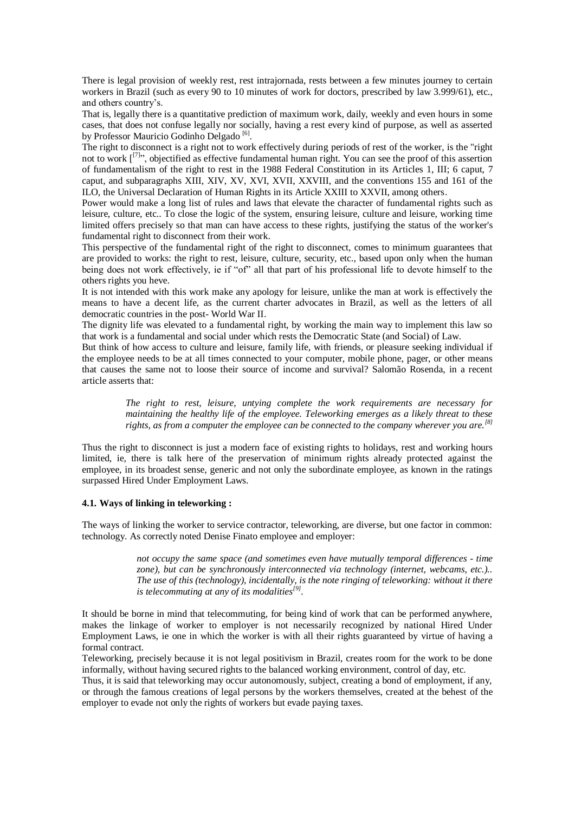There is legal provision of weekly rest, rest intrajornada, rests between a few minutes journey to certain workers in Brazil (such as every 90 to 10 minutes of work for doctors, prescribed by law 3.999/61), etc., and others country's.

That is, legally there is a quantitative prediction of maximum work, daily, weekly and even hours in some cases, that does not confuse legally nor socially, having a rest every kind of purpose, as well as asserted by Professor Mauricio Godinho Delgado<sup>[6]</sup>.

The right to disconnect is a right not to work effectively during periods of rest of the worker, is the "right not to work [<sup>[7]</sup>", objectified as effective fundamental human right. You can see the proof of this assertion of fundamentalism of the right to rest in the 1988 Federal Constitution in its Articles 1, III; 6 caput, 7 caput, and subparagraphs XIII, XIV, XV, XVI, XVII, XXVIII, and the conventions 155 and 161 of the ILO, the Universal Declaration of Human Rights in its Article XXIII to XXVII, among others.

Power would make a long list of rules and laws that elevate the character of fundamental rights such as leisure, culture, etc.. To close the logic of the system, ensuring leisure, culture and leisure, working time limited offers precisely so that man can have access to these rights, justifying the status of the worker's fundamental right to disconnect from their work.

This perspective of the fundamental right of the right to disconnect, comes to minimum guarantees that are provided to works: the right to rest, leisure, culture, security, etc., based upon only when the human being does not work effectively, ie if "of" all that part of his professional life to devote himself to the others rights you heve.

It is not intended with this work make any apology for leisure, unlike the man at work is effectively the means to have a decent life, as the current charter advocates in Brazil, as well as the letters of all democratic countries in the post- World War II.

The dignity life was elevated to a fundamental right, by working the main way to implement this law so that work is a fundamental and social under which rests the Democratic State (and Social) of Law.

But think of how access to culture and leisure, family life, with friends, or pleasure seeking individual if the employee needs to be at all times connected to your computer, mobile phone, pager, or other means that causes the same not to loose their source of income and survival? Salomão Rosenda, in a recent article asserts that:

> *The right to rest, leisure, untying complete the work requirements are necessary for maintaining the healthy life of the employee. Teleworking emerges as a likely threat to these rights, as from a computer the employee can be connected to the company wherever you are.[8]*

Thus the right to disconnect is just a modern face of existing rights to holidays, rest and working hours limited, ie, there is talk here of the preservation of minimum rights already protected against the employee, in its broadest sense, generic and not only the subordinate employee, as known in the ratings surpassed Hired Under Employment Laws.

#### **4.1. Ways of linking in teleworking :**

The ways of linking the worker to service contractor, teleworking, are diverse, but one factor in common: technology. As correctly noted Denise Finato employee and employer:

> *not occupy the same space (and sometimes even have mutually temporal differences - time zone), but can be synchronously interconnected via technology (internet, webcams, etc.).. The use of this (technology), incidentally, is the note ringing of teleworking: without it there is telecommuting at any of its modalities[9] .*

It should be borne in mind that telecommuting, for being kind of work that can be performed anywhere, makes the linkage of worker to employer is not necessarily recognized by national Hired Under Employment Laws, ie one in which the worker is with all their rights guaranteed by virtue of having a formal contract.

Teleworking, precisely because it is not legal positivism in Brazil, creates room for the work to be done informally, without having secured rights to the balanced working environment, control of day, etc.

Thus, it is said that teleworking may occur autonomously, subject, creating a bond of employment, if any, or through the famous creations of legal persons by the workers themselves, created at the behest of the employer to evade not only the rights of workers but evade paying taxes.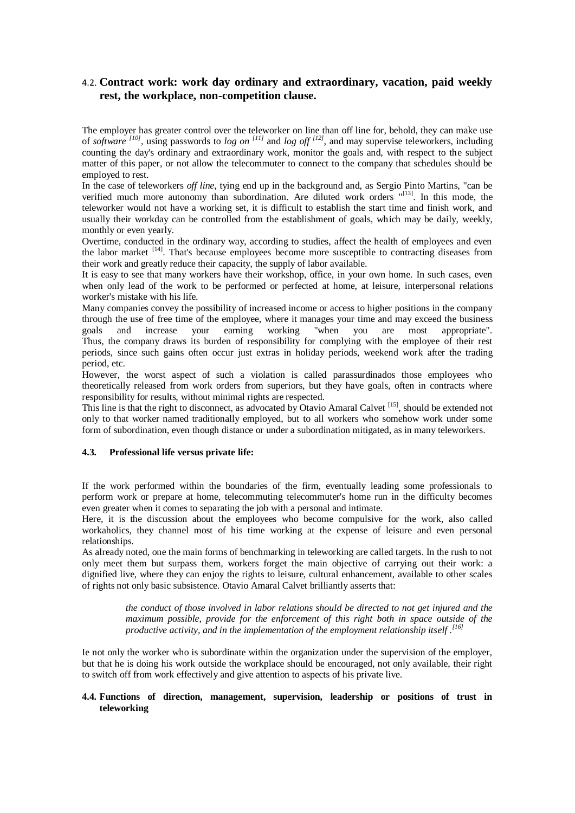# 4.2. **Contract work: work day ordinary and extraordinary, vacation, paid weekly rest, the workplace, non-competition clause.**

The employer has greater control over the teleworker on line than off line for, behold, they can make use of *software [10]* , using passwords to *log on [11]* and *log off [12]* , and may supervise teleworkers, including counting the day's ordinary and extraordinary work, monitor the goals and, with respect to the subject matter of this paper, or not allow the telecommuter to connect to the company that schedules should be employed to rest.

In the case of teleworkers *off line*, tying end up in the background and, as Sergio Pinto Martins, "can be verified much more autonomy than subordination. Are diluted work orders "[13]. In this mode, the teleworker would not have a working set, it is difficult to establish the start time and finish work, and usually their workday can be controlled from the establishment of goals, which may be daily, weekly, monthly or even yearly.

Overtime, conducted in the ordinary way, according to studies, affect the health of employees and even the labor market <sup>[14]</sup>. That's because employees become more susceptible to contracting diseases from their work and greatly reduce their capacity, the supply of labor available.

It is easy to see that many workers have their workshop, office, in your own home. In such cases, even when only lead of the work to be performed or perfected at home, at leisure, interpersonal relations worker's mistake with his life.

Many companies convey the possibility of increased income or access to higher positions in the company through the use of free time of the employee, where it manages your time and may exceed the business goals and increase your earning working "when you are most appropriate". Thus, the company draws its burden of responsibility for complying with the employee of their rest periods, since such gains often occur just extras in holiday periods, weekend work after the trading period, etc.

However, the worst aspect of such a violation is called parassurdinados those employees who theoretically released from work orders from superiors, but they have goals, often in contracts where responsibility for results, without minimal rights are respected.

This line is that the right to disconnect, as advocated by Otavio Amaral Calvet [15], should be extended not only to that worker named traditionally employed, but to all workers who somehow work under some form of subordination, even though distance or under a subordination mitigated, as in many teleworkers.

#### **4.3. Professional life versus private life:**

If the work performed within the boundaries of the firm, eventually leading some professionals to perform work or prepare at home, telecommuting telecommuter's home run in the difficulty becomes even greater when it comes to separating the job with a personal and intimate.

Here, it is the discussion about the employees who become compulsive for the work, also called workaholics, they channel most of his time working at the expense of leisure and even personal relationships.

As already noted, one the main forms of benchmarking in teleworking are called targets. In the rush to not only meet them but surpass them, workers forget the main objective of carrying out their work: a dignified live, where they can enjoy the rights to leisure, cultural enhancement, available to other scales of rights not only basic subsistence. Otavio Amaral Calvet brilliantly asserts that:

*the conduct of those involved in labor relations should be directed to not get injured and the maximum possible, provide for the enforcement of this right both in space outside of the productive activity, and in the implementation of the employment relationship itself . [16]*

Ie not only the worker who is subordinate within the organization under the supervision of the employer, but that he is doing his work outside the workplace should be encouraged, not only available, their right to switch off from work effectively and give attention to aspects of his private live.

### **4.4. Functions of direction, management, supervision, leadership or positions of trust in teleworking**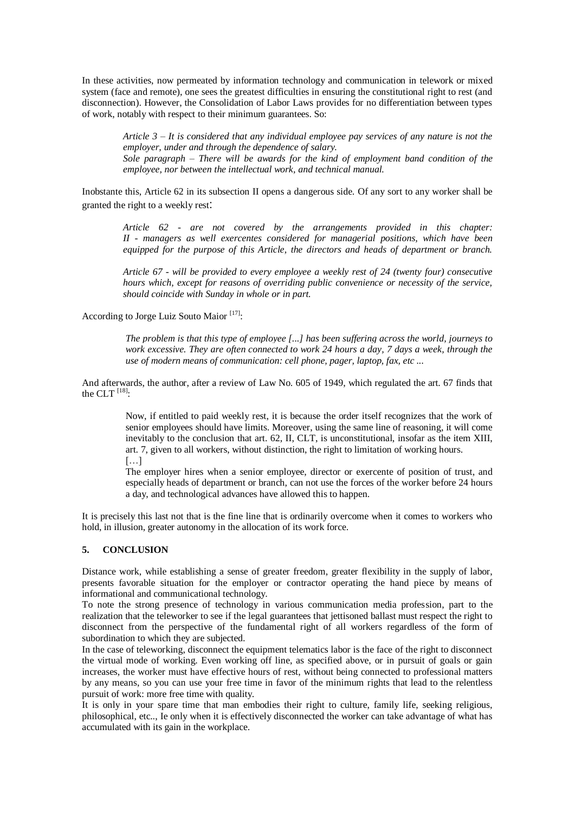In these activities, now permeated by information technology and communication in telework or mixed system (face and remote), one sees the greatest difficulties in ensuring the constitutional right to rest (and disconnection). However, the Consolidation of Labor Laws provides for no differentiation between types of work, notably with respect to their minimum guarantees. So:

*Article 3 – It is considered that any individual employee pay services of any nature is not the employer, under and through the dependence of salary. Sole paragraph – There will be awards for the kind of employment band condition of the employee, nor between the intellectual work, and technical manual.*

Inobstante this, Article 62 in its subsection II opens a dangerous side. Of any sort to any worker shall be granted the right to a weekly rest:

*Article 62 - are not covered by the arrangements provided in this chapter: II - managers as well exercentes considered for managerial positions, which have been equipped for the purpose of this Article, the directors and heads of department or branch.*

*Article 67 - will be provided to every employee a weekly rest of 24 (twenty four) consecutive hours which, except for reasons of overriding public convenience or necessity of the service, should coincide with Sunday in whole or in part.*

According to Jorge Luiz Souto Maior<sup>[17]</sup>:

*The problem is that this type of employee [...] has been suffering across the world, journeys to work excessive. They are often connected to work 24 hours a day, 7 days a week, through the use of modern means of communication: cell phone, pager, laptop, fax, etc ...*

And afterwards, the author, after a review of Law No. 605 of 1949, which regulated the art. 67 finds that the CLT  $^{[18]}$ :

> Now, if entitled to paid weekly rest, it is because the order itself recognizes that the work of senior employees should have limits. Moreover, using the same line of reasoning, it will come inevitably to the conclusion that art. 62, II, CLT, is unconstitutional, insofar as the item XIII, art. 7, given to all workers, without distinction, the right to limitation of working hours.  $[\ldots]$

> The employer hires when a senior employee, director or exercente of position of trust, and especially heads of department or branch, can not use the forces of the worker before 24 hours a day, and technological advances have allowed this to happen.

It is precisely this last not that is the fine line that is ordinarily overcome when it comes to workers who hold, in illusion, greater autonomy in the allocation of its work force.

### **5. CONCLUSION**

Distance work, while establishing a sense of greater freedom, greater flexibility in the supply of labor, presents favorable situation for the employer or contractor operating the hand piece by means of informational and communicational technology.

To note the strong presence of technology in various communication media profession, part to the realization that the teleworker to see if the legal guarantees that jettisoned ballast must respect the right to disconnect from the perspective of the fundamental right of all workers regardless of the form of subordination to which they are subjected.

In the case of teleworking, disconnect the equipment telematics labor is the face of the right to disconnect the virtual mode of working. Even working off line, as specified above, or in pursuit of goals or gain increases, the worker must have effective hours of rest, without being connected to professional matters by any means, so you can use your free time in favor of the minimum rights that lead to the relentless pursuit of work: more free time with quality.

It is only in your spare time that man embodies their right to culture, family life, seeking religious, philosophical, etc.., Ie only when it is effectively disconnected the worker can take advantage of what has accumulated with its gain in the workplace.